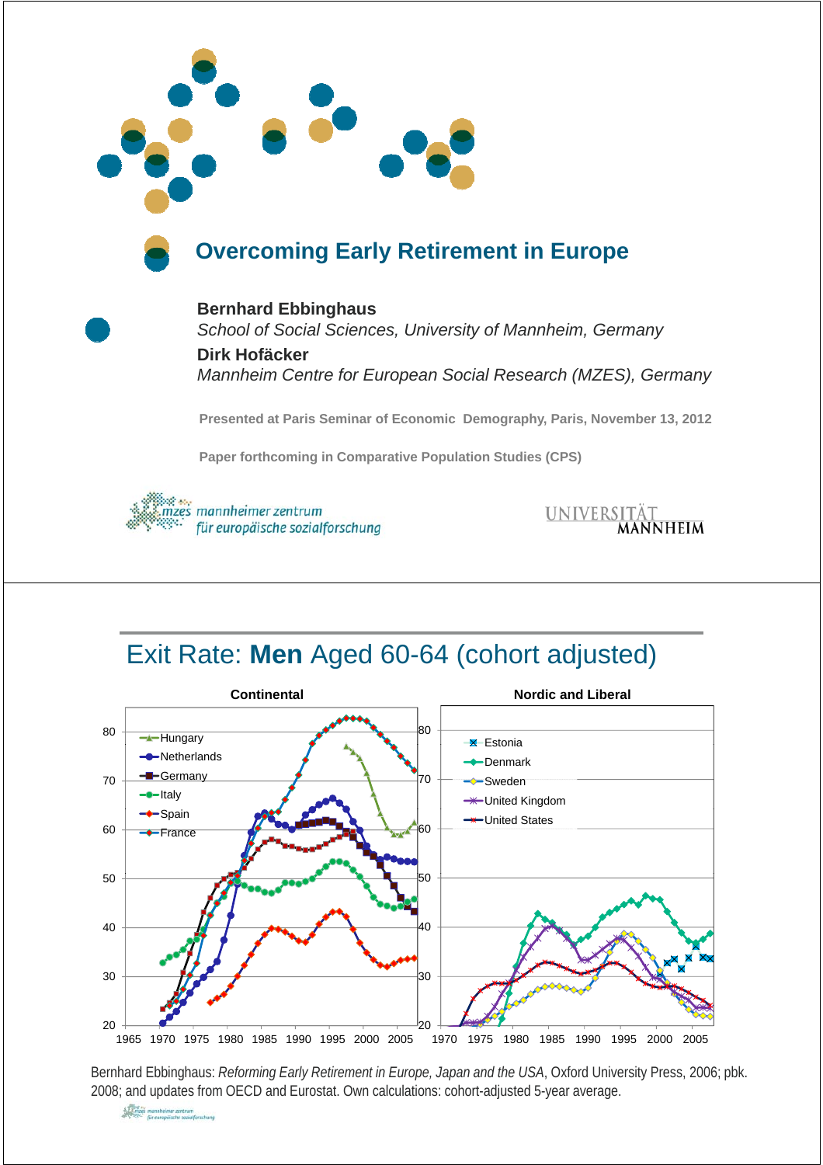

## **Overcoming Early Retirement in Europe**

**Bernhard Ebbinghaus** *School of Social Sciences, University of Mannheim, Germany*  **Dirk Hofäcker** *Mannheim Centre for European Social Research (MZES), Germany*

**Presented at Paris Seminar of Economic Demography, Paris, November 13, 2012** 

**Paper forthcoming in Comparative Population Studies (CPS)**



UNIVERSITÄT<br>**MANNHEIM** 

## Exit Rate: **Men** Aged 60-64 (cohort adjusted)



Bernhard Ebbinghaus: *Reforming Early Retirement in Europe, Japan and the USA*, Oxford University Press, 2006; pbk. 2008; and updates from OECD and Eurostat. Own calculations: cohort-adjusted 5-year average.

All and the mannheimer zentrum<br>All Sales mannheimer zentrum<br>All Sales für europäische sozialforschung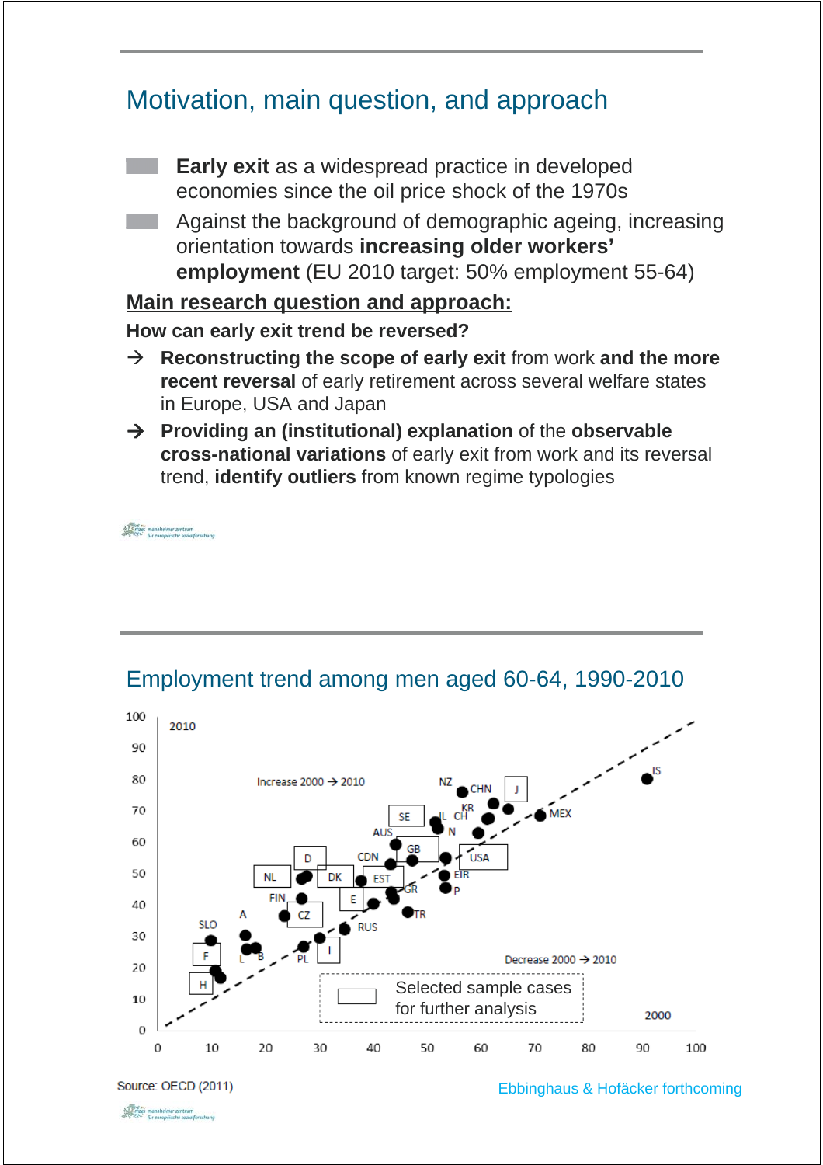# Motivation, main question, and approach **Early exit** as a widespread practice in developed economies since the oil price shock of the 1970s Against the background of demographic ageing, increasing orientation towards **increasing older workers' employment** (EU 2010 target: 50% employment 55-64) **Main research question and approach: How can early exit trend be reversed?**  $\rightarrow$  **Reconstructing the scope of early exit** from work and the more **recent reversal** of early retirement across several welfare states in Europe, USA and Japan Æ **Providing an (institutional) explanation** of the **observable cross-national variations** of early exit from work and its reversal trend, **identify outliers** from known regime typologies  $\begin{array}{ll}\n & \times \overbrace{\text{X.S.}}\n & \text{mannheimer zentrum} \\
 & \times \overbrace{\text{X.S.}}\n & \text{für europäische saniaffarschung}\n \end{array}$



### Employment trend among men aged 60-64, 1990-2010

Source: OECD (2011)

Ebbinghaus & Hofäcker forthcoming

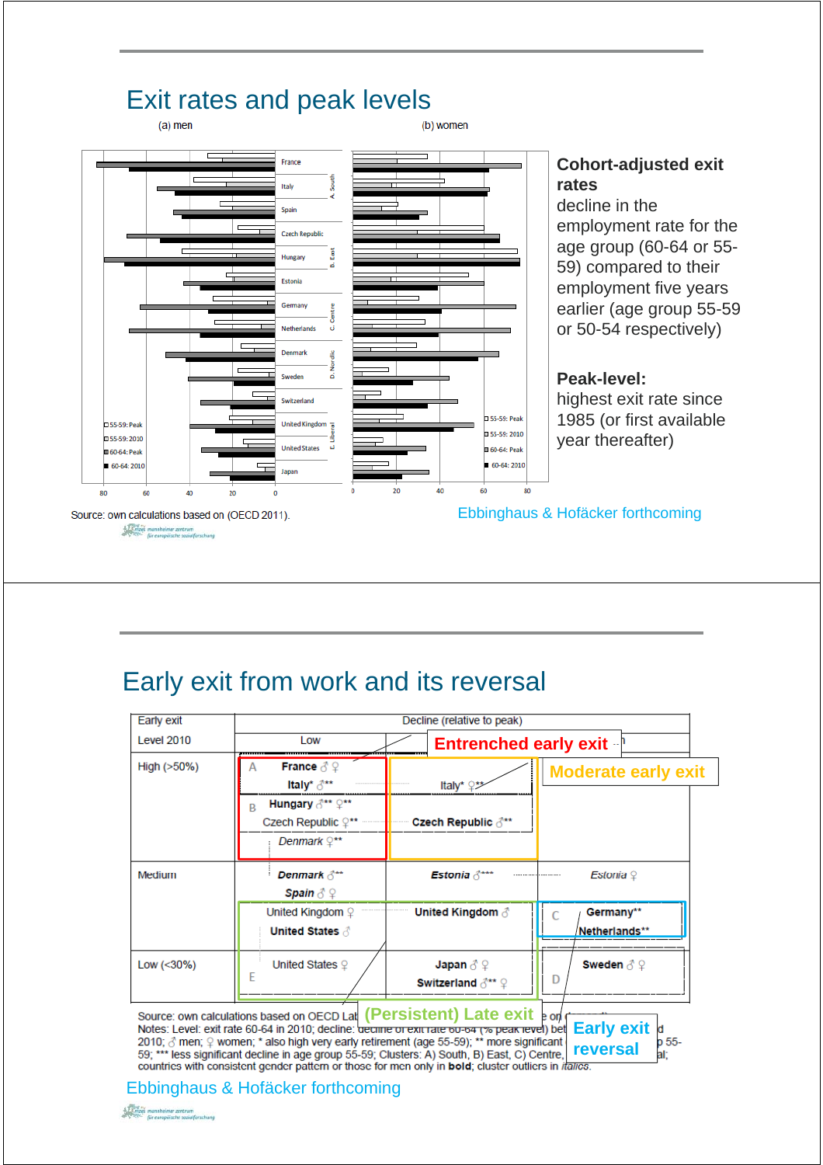

# **Cohort-adjusted exit**

decline in the employment rate for the age group (60-64 or 55- 59) compared to their employment five years earlier (age group 55-59 or 50-54 respectively)

#### **Peak-level:**

highest exit rate since 1985 (or first available year thereafter)

> d  $0.55 -$

aŀ

Ebbinghaus & Hofäcker forthcoming

# Early exit from work and its reversal

| Early exit        | Decline (relative to peak)                                                                                                                        |                                                                                         |                                  |  |  |  |  |  |
|-------------------|---------------------------------------------------------------------------------------------------------------------------------------------------|-----------------------------------------------------------------------------------------|----------------------------------|--|--|--|--|--|
| <b>Level 2010</b> | Low                                                                                                                                               | <b>Entrenched early exit</b>                                                            |                                  |  |  |  |  |  |
| High (>50%)       | <b>France</b> $\delta$ $\varphi$<br>A<br>Italy* ♂**<br>Hungary 3** 9**<br>B<br>Czech Republic $\varphi^{\star\star}$<br>Denmark $\mathbb{Q}^{**}$ | Italy* ♀*<br>Czech Republic ♂**                                                         | <b>Moderate early exit</b>       |  |  |  |  |  |
| <b>Medium</b>     | Denmark $\delta^{**}$<br>Spain $\delta \mathfrak{Q}$                                                                                              | Estonia $\delta^{***}$                                                                  | Estonia $\varphi$                |  |  |  |  |  |
|                   | United Kingdom $\mathcal Q$<br><b>United States &amp;</b>                                                                                         | United Kingdom ♂                                                                        | Germany**<br>Netherlands**       |  |  |  |  |  |
| Low $(<30\%)$     | United States $9$                                                                                                                                 | Japan $\delta \varphi$<br><b>Switzerland <math>\beta^{**}</math> <math>\circ</math></b> | Sweden $\beta \circledcirc$<br>D |  |  |  |  |  |

Source: own calculations based on OECD Lat (Persistent) Late exit **b** on  $\overline{C}$ <br>Notes: Level: exit rate 60-64 in 2010; decline: decline or exit rate <del>bu-ba (% peak level</del>) bet **Early exit**<br>2010;  $\delta$  men;  $\Omega$  women; \* a **reversal** 59; \*\*\* less significant decline in age group 55-59; Clusters: A) South, B) East, C) Centre, countries with consistent gender pattern or those for men only in **bold**; cluster outliers in *italics*.

#### Ebbinghaus & Hofäcker forthcoming

 $\begin{array}{rcl} \frac{1}{2}\sum\limits_{i=1}^{n}\frac{1}{2}\sum\limits_{i=1}^{n}\frac{1}{2}\sum\limits_{i=1}^{n}\frac{1}{2}\sum\limits_{i=1}^{n}\frac{1}{2}\sum\limits_{i=1}^{n}\frac{1}{2}\sum\limits_{i=1}^{n}\frac{1}{2}\sum\limits_{i=1}^{n}\frac{1}{2}\sum\limits_{i=1}^{n}\frac{1}{2}\sum\limits_{i=1}^{n}\frac{1}{2}\sum\limits_{i=1}^{n}\frac{1}{2}\sum\limits_{i=1}^{n}\frac{1}{2}\sum\limits_{i=1}^{n}\frac{1}{2}\sum$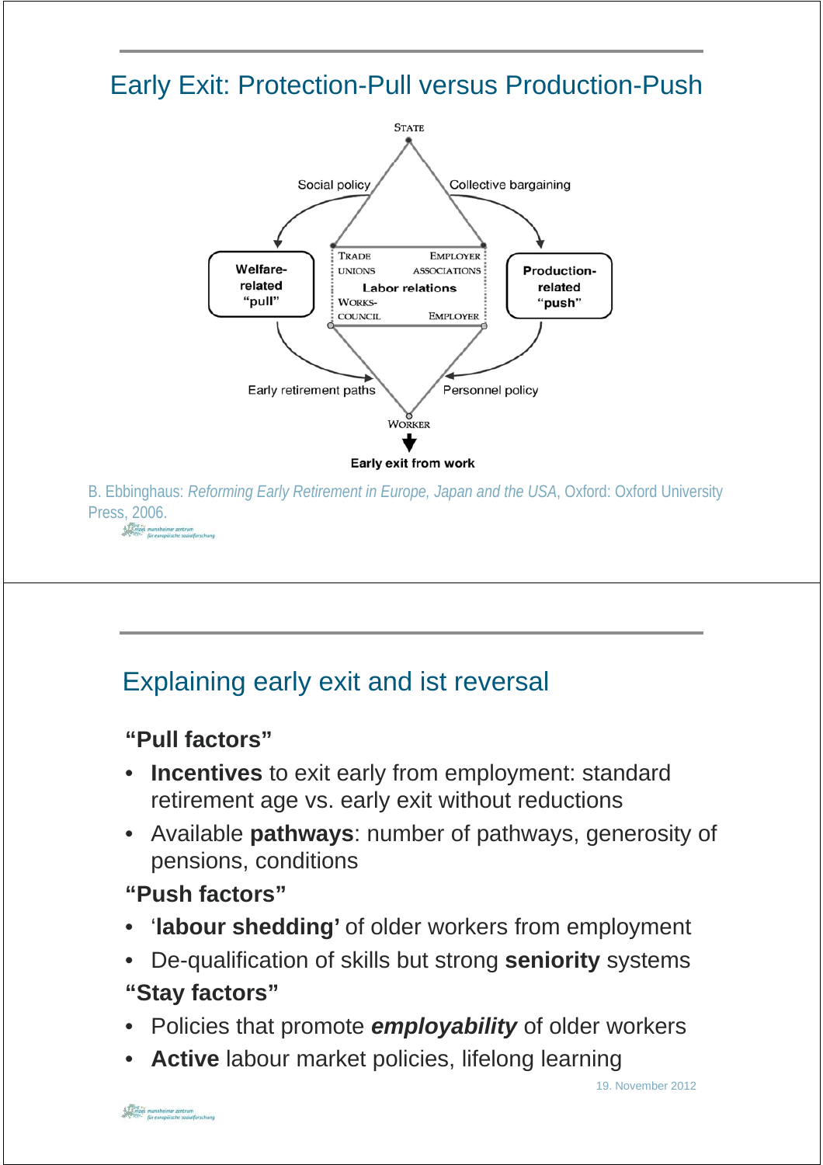# Early Exit: Protection-Pull versus Production-Push



B. Ebbinghaus: *Reforming Early Retirement in Europe, Japan and the USA*, Oxford: Oxford University Press, 2006.<br>
Finites mannheimer zentrum

# Explaining early exit and ist reversal

**"Pull factors Pull factors"**

- **Incentives** to exit early from employment: standard retirement age vs. early exit without reductions
- Available **pathways**: number of pathways, generosity of pensions, conditions
- **"Push factors"**
- 'labour shedding' of older workers from employment
- De-qualification of skills but strong **seniority** systems
- **"Stay factors"**
- Policies that promote *employability* of older workers
- **Active** labour market policies, lifelong learning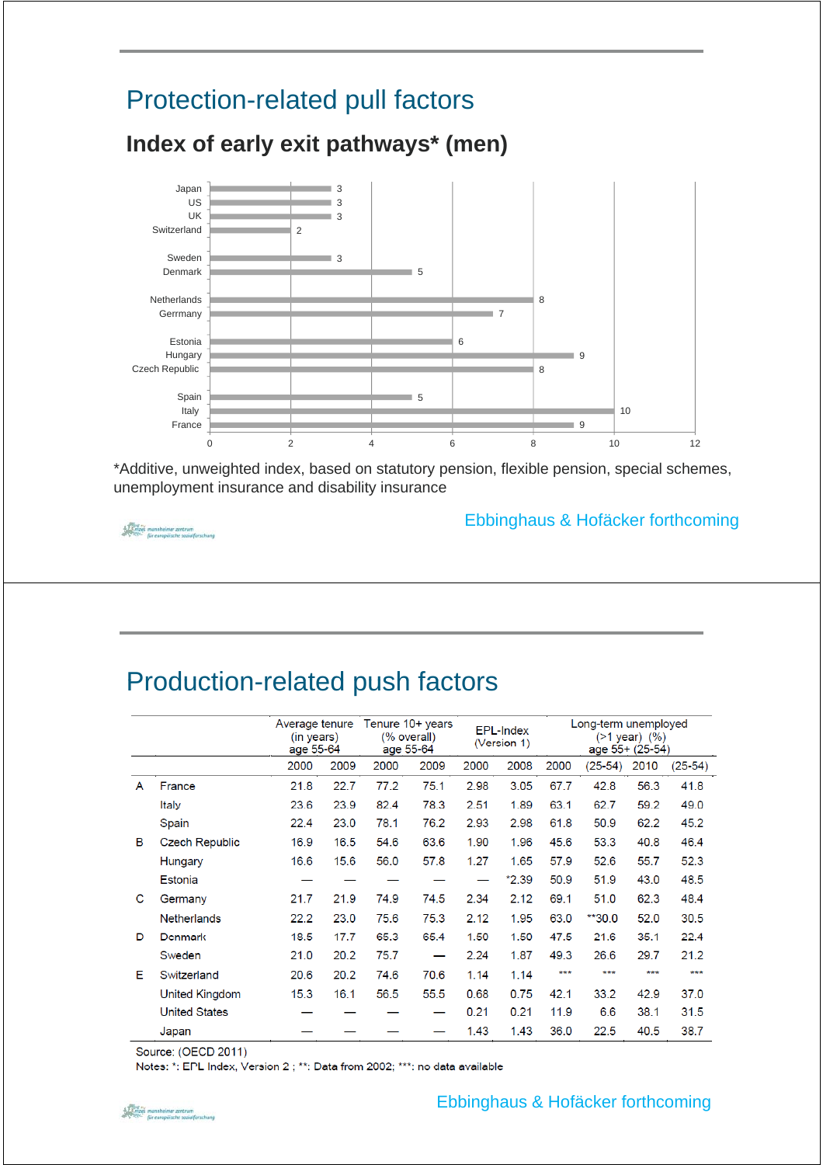# Protection-related pull factors



**Index of early exit pathways\* (men)**

\*Additive, unweighted index, based on statutory pension, flexible pension, special schemes, unemployment insurance and disability insurance

 $\begin{picture}(180,10) \put(0,0){\vector(0,1){30}} \put(0,0){\vector(0,1){30}} \put(0,0){\vector(0,1){30}} \put(0,0){\vector(0,1){30}} \put(0,0){\vector(0,1){30}} \put(0,0){\vector(0,1){30}} \put(0,0){\vector(0,1){30}} \put(0,0){\vector(0,1){30}} \put(0,0){\vector(0,1){30}} \put(0,0){\vector(0,1){30}} \put(0,0){\vector(0,1){30}} \put(0,0){\vector(0,1){30}} \put(0$ 

#### Ebbinghaus & Hofäcker forthcoming

## Production-related push factors

|   |                       | Average tenure<br>(in years)<br>age 55-64 |      |      | Tenure $10+$ years<br>(% overall)<br>age 55-64 |      | <b>EPL-Index</b><br>(Version 1) | Long-term unemployed<br>$($ >1 year) $($ %)<br>age 55+ (25-54) |           |      |           |
|---|-----------------------|-------------------------------------------|------|------|------------------------------------------------|------|---------------------------------|----------------------------------------------------------------|-----------|------|-----------|
|   |                       | 2000                                      | 2009 | 2000 | 2009                                           | 2000 | 2008                            | 2000                                                           | $(25-54)$ | 2010 | $(25-54)$ |
| A | France                | 21.8                                      | 22.7 | 77.2 | 75.1                                           | 2.98 | 3.05                            | 67.7                                                           | 42.8      | 56.3 | 41.8      |
|   | Italy                 | 23.6                                      | 23.9 | 82.4 | 78.3                                           | 2.51 | 1.89                            | 63.1                                                           | 62.7      | 59.2 | 49.0      |
|   | Spain                 | 22.4                                      | 23.0 | 78.1 | 76.2                                           | 2.93 | 2.98                            | 61.8                                                           | 50.9      | 62.2 | 45.2      |
| B | <b>Czech Republic</b> | 16.9                                      | 16.5 | 54.6 | 63.6                                           | 1.90 | 1.96                            | 45.6                                                           | 53.3      | 40.8 | 46.4      |
|   | Hungary               | 16.6                                      | 15.6 | 56.0 | 57.8                                           | 1.27 | 1.65                            | 57.9                                                           | 52.6      | 55.7 | 52.3      |
|   | Estonia               |                                           |      |      |                                                |      | $*2.39$                         | 50.9                                                           | 51.9      | 43.0 | 48.5      |
| C | Germany               | 21.7                                      | 21.9 | 74.9 | 74.5                                           | 2.34 | 2.12                            | 69.1                                                           | 51.0      | 62.3 | 48.4      |
|   | <b>Netherlands</b>    | 22.2                                      | 23.0 | 75.6 | 75.3                                           | 2.12 | 1.95                            | 63.0                                                           | $*30.0$   | 52.0 | 30.5      |
| D | Denmark               | 18.5                                      | 17.7 | 65.3 | 65.4                                           | 1.50 | 1.50                            | 47.5                                                           | 21.6      | 35.1 | 22.4      |
|   | Sweden                | 21.0                                      | 20.2 | 75.7 |                                                | 2.24 | 1.87                            | 49.3                                                           | 26.6      | 29.7 | 21.2      |
| Е | Switzerland           | 20.6                                      | 20.2 | 74.6 | 70.6                                           | 1.14 | 1.14                            | ***                                                            | ***       | ***  | ***       |
|   | <b>United Kingdom</b> | 15.3                                      | 16.1 | 56.5 | 55.5                                           | 0.68 | 0.75                            | 42.1                                                           | 33.2      | 42.9 | 37.0      |
|   | <b>United States</b>  |                                           |      |      |                                                | 0.21 | 0.21                            | 11.9                                                           | 6.6       | 38.1 | 31.5      |
|   | Japan                 |                                           |      |      |                                                | 1.43 | 1.43                            | 36.0                                                           | 22.5      | 40.5 | 38.7      |

Source: (OECD 2011)

Notes: \*: EPL Index, Version 2; \*\*: Data from 2002; \*\*\*: no data available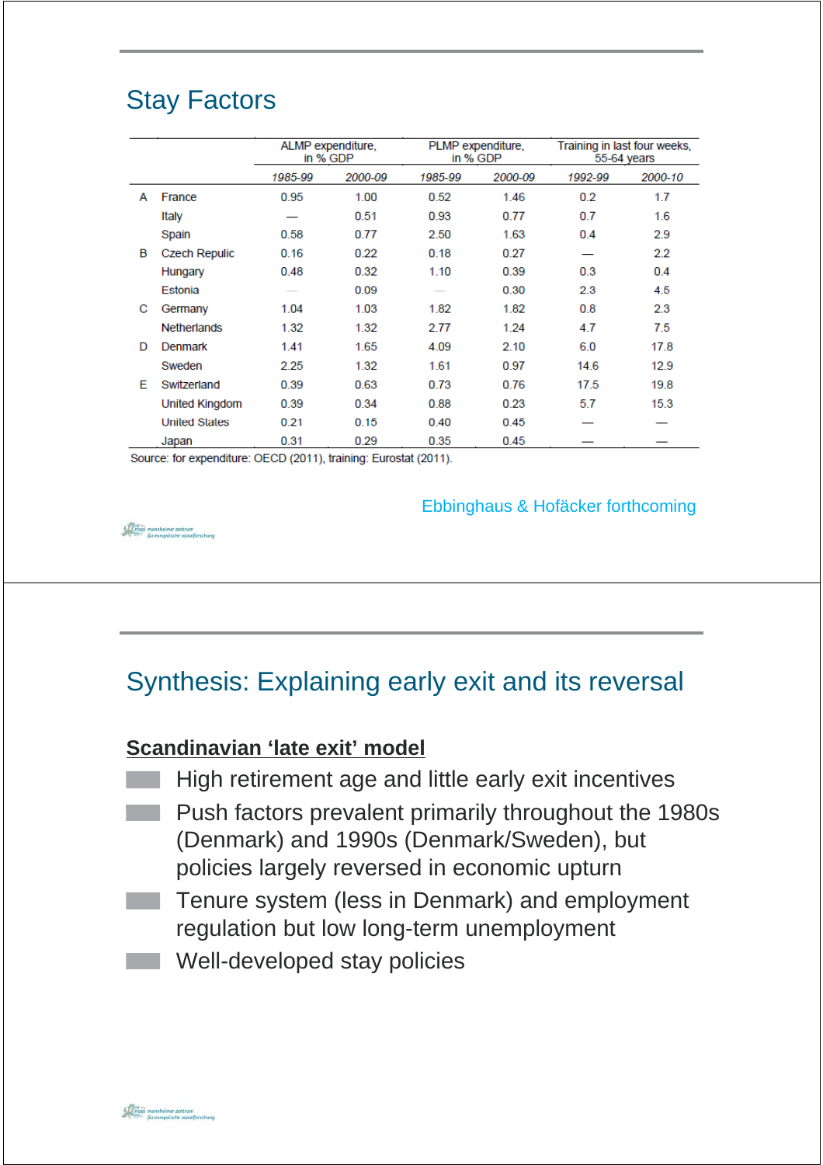# Stay Factors

|   |                      | ALMP expenditure,<br>in % GDP |         | PLMP expenditure,<br>in % GDP |         | Training in last four weeks.<br>55-64 years |         |  |
|---|----------------------|-------------------------------|---------|-------------------------------|---------|---------------------------------------------|---------|--|
|   |                      | 1985-99                       | 2000-09 | 1985-99                       | 2000-09 | 1992-99                                     | 2000-10 |  |
| А | France               | 0.95                          | 1.00    | 0.52                          | 1.46    | 0.2                                         | 1.7     |  |
|   | Italy                |                               | 0.51    | 0.93                          | 0.77    | 0.7                                         | 1.6     |  |
|   | Spain                | 0.58                          | 0.77    | 2.50                          | 1.63    | 0.4                                         | 2.9     |  |
| в | <b>Czech Repulic</b> | 0.16                          | 0.22    | 0.18                          | 0.27    |                                             | 2.2     |  |
|   | Hungary              | 0.48                          | 0.32    | 1.10                          | 0.39    | 0.3                                         | 0.4     |  |
|   | Estonia              |                               | 0.09    |                               | 0.30    | 2.3                                         | 4.5     |  |
| С | Germany              | 1.04                          | 1.03    | 1.82                          | 1.82    | 0.8                                         | 2.3     |  |
|   | <b>Netherlands</b>   | 1.32                          | 1.32    | 2.77                          | 1.24    | 4.7                                         | 7.5     |  |
| D | Denmark              | 1.41                          | 1.65    | 4.09                          | 2.10    | 6.0                                         | 17.8    |  |
|   | Sweden               | 2.25                          | 1.32    | 1.61                          | 0.97    | 14.6                                        | 12.9    |  |
| E | Switzerland          | 0.39                          | 0.63    | 0.73                          | 0.76    | 17.5                                        | 19.8    |  |
|   | United Kingdom       | 0.39                          | 0.34    | 0.88                          | 0.23    | 5.7                                         | 15.3    |  |
|   | <b>United States</b> | 0.21                          | 0.15    | 0.40                          | 0.45    |                                             |         |  |
|   | Japan                | 0.31                          | 0.29    | 0.35                          | 0.45    |                                             |         |  |

Source: for expenditure: OECD (2011), training: Eurostat (2011).

Ebbinghaus & Hofäcker forthcoming

# Synthesis: Explaining early exit and its reversal

### **Scandinavian 'late exit' model**

- High retirement age and little early exit incentives
- Push factors prevalent primarily throughout the 1980s (Denmark) and 1990s (Denmark/Sweden), but policies largely reversed in economic upturn
- **Tenure system (less in Denmark) and employment** regulation but low long-term unemployment
- Well-developed stay policies

 $\begin{minipage}{.4\linewidth} \begin{minipage}{.4\linewidth} \textbf{0.4\linewidth} \end{minipage} \begin{minipage}{.4\linewidth} \begin{minipage}{.4\linewidth} \textbf{0.4\linewidth} \end{minipage} \begin{minipage}{.4\linewidth} \begin{minipage}{.4\linewidth} \end{minipage} \begin{minipage}{.4\linewidth} \end{minipage} \begin{minipage}{.4\linewidth} \end{minipage} \begin{minipage}{.4\linewidth} \end{minipage} \begin{minipage}{.4\linewidth} \end{minipage} \begin{minipage}{.4\linewidth} \end{minipage} \begin{minipage}{.4\linewidth}$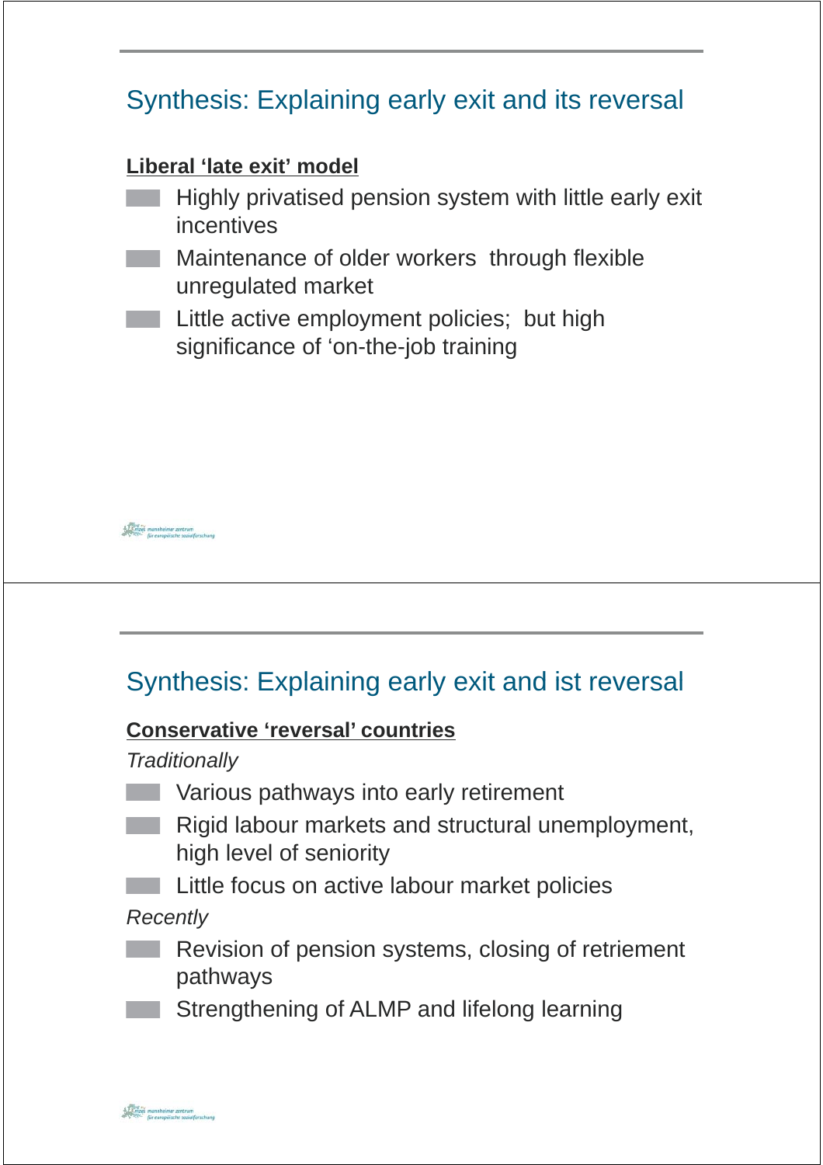# Synthesis: Explaining early exit and its reversal **Liberal 'late exit' model Liberal 'late exit'** Highly privatised pension system with little early exit incentives **Maintenance of older workers through flexible** unregulated market **Little active employment policies; but high** significance of 'on-the-job training

## Synthesis: Explaining early exit and ist reversal

### **Conservative 'reversal' countries**

*Traditionally*

 $\begin{picture}(180,10) \put(0,0){\vector(0,1){30}} \put(0,0){\vector(0,1){30}} \put(0,0){\vector(0,1){30}} \put(0,0){\vector(0,1){30}} \put(0,0){\vector(0,1){30}} \put(0,0){\vector(0,1){30}} \put(0,0){\vector(0,1){30}} \put(0,0){\vector(0,1){30}} \put(0,0){\vector(0,1){30}} \put(0,0){\vector(0,1){30}} \put(0,0){\vector(0,1){30}} \put(0,0){\vector(0,1){30}} \put(0$ 

- **Various pathways into early retirement**
- **Rigid labour markets and structural unemployment,** high level of seniority
	- Little focus on active labour market policies

*Recently*

- **Revision of pension systems, closing of retriement** pathways
- Strengthening of ALMP and lifelong learning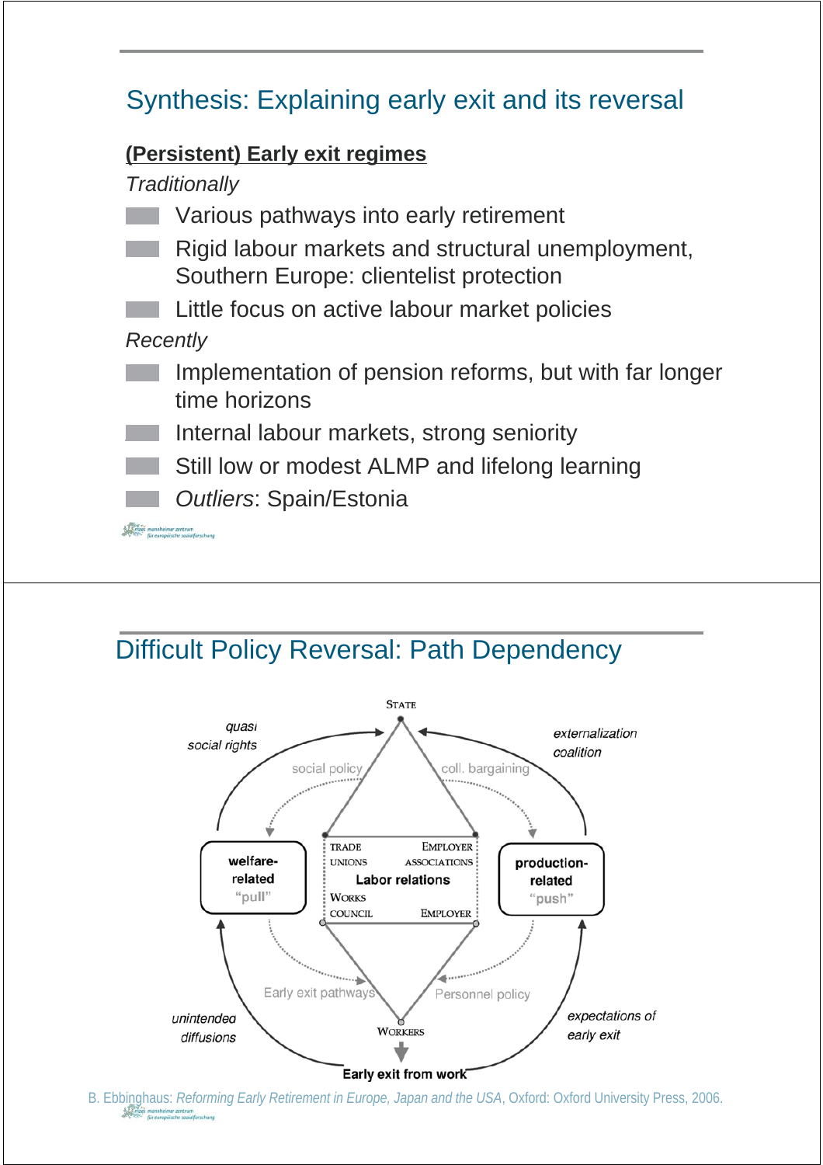# Synthesis: Explaining early exit and its reversal

### **( )y g Persistent) Early exit regimes**

*Traditionally*

- Various pathways into early retirement
- Rigid labour markets and structural unemployment, Southern Europe: clientelist protection
- Little focus on active labour market policies

*Recently*

- Implementation of pension reforms, but with far longer time horizons
- Internal labour markets, strong seniority
- Still low or modest ALMP and lifelong learning
	- *Outliers*: Spain/Estonia

 $\frac{1}{2}$  ,  $\frac{1}{2}$  ,  $\frac{1}{2}$  mannheimer zentrum<br> $\approx$   $\frac{1}{2}$   $\frac{1}{2}$  für europäische sazialfarschung

## Difficult Policy Reversal: Path Dependency



B. Ebbinghaus: *Reforming Early Retirement in Europe, Japan and the USA*, Oxford: Oxford University Press, 2006.<br>Since the conditional present proper accomplised a parameter accomplised a parameter accomplised a parameter